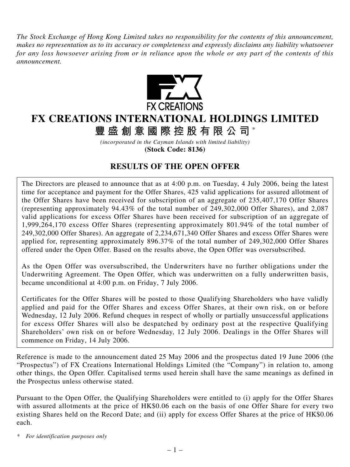*The Stock Exchange of Hong Kong Limited takes no responsibility for the contents of this announcement, makes no representation as to its accuracy or completeness and expressly disclaims any liability whatsoever for any loss howsoever arising from or in reliance upon the whole or any part of the contents of this announcement.*



# **FX CREATIONS INTERNATIONAL HOLDINGS LIMITED**

**豐盛創意國際控股有限公司** \*

*(incorporated in the Cayman Islands with limited liability)* **(Stock Code: 8136)**

## **RESULTS OF THE OPEN OFFER**

The Directors are pleased to announce that as at 4:00 p.m. on Tuesday, 4 July 2006, being the latest time for acceptance and payment for the Offer Shares, 425 valid applications for assured allotment of the Offer Shares have been received for subscription of an aggregate of 235,407,170 Offer Shares (representing approximately 94.43% of the total number of 249,302,000 Offer Shares), and 2,087 valid applications for excess Offer Shares have been received for subscription of an aggregate of 1,999,264,170 excess Offer Shares (representing approximately 801.94% of the total number of 249,302,000 Offer Shares). An aggregate of 2,234,671,340 Offer Shares and excess Offer Shares were applied for, representing approximately 896.37% of the total number of 249,302,000 Offer Shares offered under the Open Offer. Based on the results above, the Open Offer was oversubscribed.

As the Open Offer was oversubscribed, the Underwriters have no further obligations under the Underwriting Agreement. The Open Offer, which was underwritten on a fully underwritten basis, became unconditional at 4:00 p.m. on Friday, 7 July 2006.

Certificates for the Offer Shares will be posted to those Qualifying Shareholders who have validly applied and paid for the Offer Shares and excess Offer Shares, at their own risk, on or before Wednesday, 12 July 2006. Refund cheques in respect of wholly or partially unsuccessful applications for excess Offer Shares will also be despatched by ordinary post at the respective Qualifying Shareholders' own risk on or before Wednesday, 12 July 2006. Dealings in the Offer Shares will commence on Friday, 14 July 2006.

Reference is made to the announcement dated 25 May 2006 and the prospectus dated 19 June 2006 (the "Prospectus") of FX Creations International Holdings Limited (the "Company") in relation to, among other things, the Open Offer. Capitalised terms used herein shall have the same meanings as defined in the Prospectus unless otherwise stated.

Pursuant to the Open Offer, the Qualifying Shareholders were entitled to (i) apply for the Offer Shares with assured allotments at the price of HK\$0.06 each on the basis of one Offer Share for every two existing Shares held on the Record Date; and (ii) apply for excess Offer Shares at the price of HK\$0.06 each.

*\* For identification purposes only*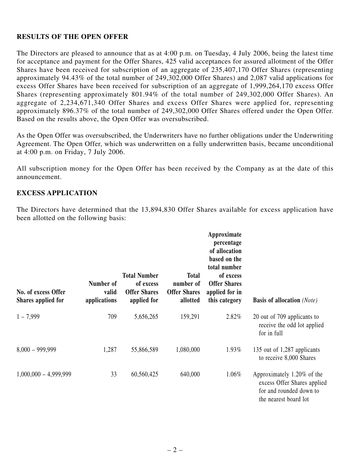### **RESULTS OF THE OPEN OFFER**

The Directors are pleased to announce that as at 4:00 p.m. on Tuesday, 4 July 2006, being the latest time for acceptance and payment for the Offer Shares, 425 valid acceptances for assured allotment of the Offer Shares have been received for subscription of an aggregate of 235,407,170 Offer Shares (representing approximately 94.43% of the total number of 249,302,000 Offer Shares) and 2,087 valid applications for excess Offer Shares have been received for subscription of an aggregate of 1,999,264,170 excess Offer Shares (representing approximately 801.94% of the total number of 249,302,000 Offer Shares). An aggregate of 2,234,671,340 Offer Shares and excess Offer Shares were applied for, representing approximately 896.37% of the total number of 249,302,000 Offer Shares offered under the Open Offer. Based on the results above, the Open Offer was oversubscribed.

As the Open Offer was oversubscribed, the Underwriters have no further obligations under the Underwriting Agreement. The Open Offer, which was underwritten on a fully underwritten basis, became unconditional at 4:00 p.m. on Friday, 7 July 2006.

All subscription money for the Open Offer has been received by the Company as at the date of this announcement.

#### **EXCESS APPLICATION**

The Directors have determined that the 13,894,830 Offer Shares available for excess application have been allotted on the following basis:

| No. of excess Offer<br>Shares applied for | Number of<br>valid<br>applications | <b>Total Number</b><br>of excess<br><b>Offer Shares</b><br>applied for | <b>Total</b><br>number of<br><b>Offer Shares</b><br>allotted | Approximate<br>percentage<br>of allocation<br>based on the<br>total number<br>of excess<br><b>Offer Shares</b><br>applied for in<br>this category | <b>Basis of allocation</b> (Note)                                                                             |
|-------------------------------------------|------------------------------------|------------------------------------------------------------------------|--------------------------------------------------------------|---------------------------------------------------------------------------------------------------------------------------------------------------|---------------------------------------------------------------------------------------------------------------|
| $1 - 7,999$                               | 709                                | 5,656,265                                                              | 159,291                                                      | 2.82%                                                                                                                                             | 20 out of 709 applicants to<br>receive the odd lot applied<br>for in full                                     |
| $8,000 - 999,999$                         | 1,287                              | 55,866,589                                                             | 1,080,000                                                    | 1.93%                                                                                                                                             | 135 out of 1,287 applicants<br>to receive 8,000 Shares                                                        |
| $1,000,000 - 4,999,999$                   | 33                                 | 60,560,425                                                             | 640,000                                                      | 1.06%                                                                                                                                             | Approximately 1.20% of the<br>excess Offer Shares applied<br>for and rounded down to<br>the nearest board lot |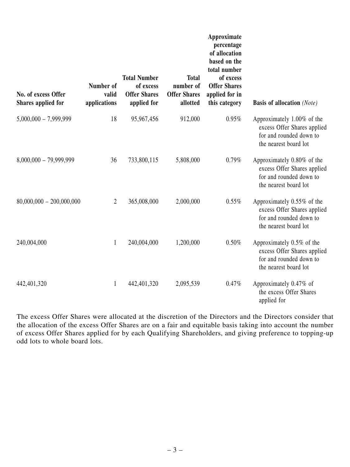| No. of excess Offer<br>Shares applied for | Number of<br>valid<br>applications | <b>Total Number</b><br>of excess<br><b>Offer Shares</b><br>applied for | <b>Total</b><br>number of<br><b>Offer Shares</b><br>allotted | Approximate<br>percentage<br>of allocation<br>based on the<br>total number<br>of excess<br><b>Offer Shares</b><br>applied for in<br>this category | <b>Basis of allocation</b> (Note)                                                                             |
|-------------------------------------------|------------------------------------|------------------------------------------------------------------------|--------------------------------------------------------------|---------------------------------------------------------------------------------------------------------------------------------------------------|---------------------------------------------------------------------------------------------------------------|
| $5,000,000 - 7,999,999$                   | 18                                 | 95,967,456                                                             | 912,000                                                      | 0.95%                                                                                                                                             | Approximately 1.00% of the<br>excess Offer Shares applied<br>for and rounded down to<br>the nearest board lot |
| $8,000,000 - 79,999,999$                  | 36                                 | 733,800,115                                                            | 5,808,000                                                    | 0.79%                                                                                                                                             | Approximately 0.80% of the<br>excess Offer Shares applied<br>for and rounded down to<br>the nearest board lot |
| $80,000,000 - 200,000,000$                | $\overline{2}$                     | 365,008,000                                                            | 2,000,000                                                    | 0.55%                                                                                                                                             | Approximately 0.55% of the<br>excess Offer Shares applied<br>for and rounded down to<br>the nearest board lot |
| 240,004,000                               | $\mathbf{1}$                       | 240,004,000                                                            | 1,200,000                                                    | 0.50%                                                                                                                                             | Approximately 0.5% of the<br>excess Offer Shares applied<br>for and rounded down to<br>the nearest board lot  |
| 442,401,320                               | $\mathbf{1}$                       | 442,401,320                                                            | 2,095,539                                                    | 0.47%                                                                                                                                             | Approximately 0.47% of<br>the excess Offer Shares<br>applied for                                              |

The excess Offer Shares were allocated at the discretion of the Directors and the Directors consider that the allocation of the excess Offer Shares are on a fair and equitable basis taking into account the number of excess Offer Shares applied for by each Qualifying Shareholders, and giving preference to topping-up odd lots to whole board lots.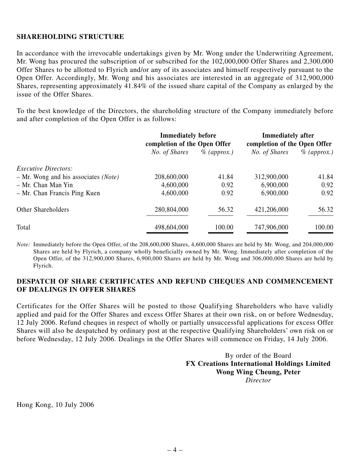#### **SHAREHOLDING STRUCTURE**

In accordance with the irrevocable undertakings given by Mr. Wong under the Underwriting Agreement, Mr. Wong has procured the subscription of or subscribed for the 102,000,000 Offer Shares and 2,300,000 Offer Shares to be allotted to Flyrich and/or any of its associates and himself respectively pursuant to the Open Offer. Accordingly, Mr. Wong and his associates are interested in an aggregate of 312,900,000 Shares, representing approximately 41.84% of the issued share capital of the Company as enlarged by the issue of the Offer Shares.

To the best knowledge of the Directors, the shareholding structure of the Company immediately before and after completion of the Open Offer is as follows:

|                                        | <b>Immediately before</b><br>completion of the Open Offer |                | <b>Immediately after</b><br>completion of the Open Offer |                |
|----------------------------------------|-----------------------------------------------------------|----------------|----------------------------------------------------------|----------------|
|                                        | No. of Shares                                             | $\%$ (approx.) | No. of Shares                                            | $\%$ (approx.) |
| <i>Executive Directors:</i>            |                                                           |                |                                                          |                |
| $-$ Mr. Wong and his associates (Note) | 208,600,000                                               | 41.84          | 312,900,000                                              | 41.84          |
| - Mr. Chan Man Yin                     | 4,600,000                                                 | 0.92           | 6,900,000                                                | 0.92           |
| - Mr. Chan Francis Ping Kuen           | 4,600,000                                                 | 0.92           | 6,900,000                                                | 0.92           |
| Other Shareholders                     | 280,804,000                                               | 56.32          | 421,206,000                                              | 56.32          |
| Total                                  | 498,604,000                                               | 100.00         | 747,906,000                                              | 100.00         |

*Note:* Immediately before the Open Offer, of the 208,600,000 Shares, 4,600,000 Shares are held by Mr. Wong, and 204,000,000 Shares are held by Flyrich, a company wholly beneficially owned by Mr. Wong. Immediately after completion of the Open Offer, of the 312,900,000 Shares, 6,900,000 Shares are held by Mr. Wong and 306,000,000 Shares are held by Flyrich.

#### **DESPATCH OF SHARE CERTIFICATES AND REFUND CHEQUES AND COMMENCEMENT OF DEALINGS IN OFFER SHARES**

Certificates for the Offer Shares will be posted to those Qualifying Shareholders who have validly applied and paid for the Offer Shares and excess Offer Shares at their own risk, on or before Wednesday, 12 July 2006. Refund cheques in respect of wholly or partially unsuccessful applications for excess Offer Shares will also be despatched by ordinary post at the respective Qualifying Shareholders' own risk on or before Wednesday, 12 July 2006. Dealings in the Offer Shares will commence on Friday, 14 July 2006.

> By order of the Board **FX Creations International Holdings Limited Wong Wing Cheung, Peter** *Director*

Hong Kong, 10 July 2006